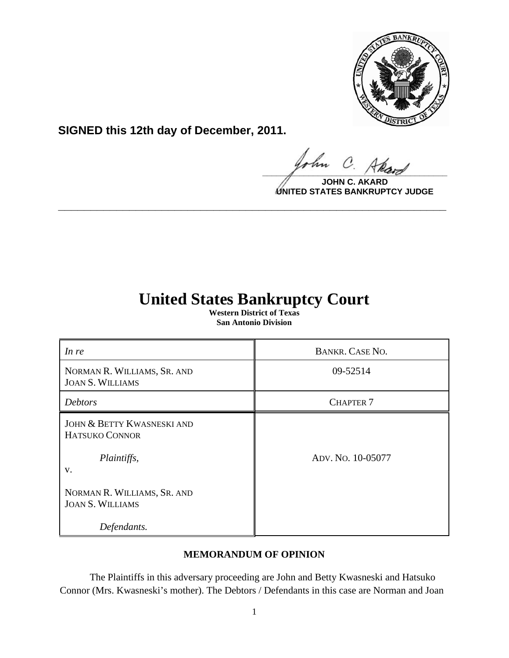

**SIGNED this 12th day of December, 2011.**

hn  $\mathcal{C}$  $\frac{1}{\sqrt{1-\frac{1}{2}}\sqrt{1-\frac{1}{2}}\sqrt{1-\frac{1}{2}}\sqrt{1-\frac{1}{2}}\sqrt{1-\frac{1}{2}}\sqrt{1-\frac{1}{2}}\sqrt{1-\frac{1}{2}}\sqrt{1-\frac{1}{2}}\sqrt{1-\frac{1}{2}}\sqrt{1-\frac{1}{2}}\sqrt{1-\frac{1}{2}}\sqrt{1-\frac{1}{2}}\sqrt{1-\frac{1}{2}}\sqrt{1-\frac{1}{2}}\sqrt{1-\frac{1}{2}}\sqrt{1-\frac{1}{2}}\sqrt{1-\frac{1}{2}}\sqrt{1-\frac{1}{2}}\sqrt{1-\frac{1}{2}}\sqrt{1-\frac$ 

**JOHN C. AKARD UNITED STATES BANKRUPTCY JUDGE**

# **United States Bankruptcy Court**

**\_\_\_\_\_\_\_\_\_\_\_\_\_\_\_\_\_\_\_\_\_\_\_\_\_\_\_\_\_\_\_\_\_\_\_\_\_\_\_\_\_\_\_\_\_\_\_\_\_\_\_\_\_\_\_\_\_\_\_\_**

**Western District of Texas San Antonio Division**

| In re                                                                               | BANKR. CASE NO.   |
|-------------------------------------------------------------------------------------|-------------------|
| NORMAN R. WILLIAMS, SR. AND<br><b>JOAN S. WILLIAMS</b>                              | 09-52514          |
| <b>Debtors</b>                                                                      | <b>CHAPTER 7</b>  |
| <b>JOHN &amp; BETTY KWASNESKI AND</b><br><b>HATSUKO CONNOR</b><br>Plaintiffs,<br>V. | ADV. No. 10-05077 |
| NORMAN R. WILLIAMS, SR. AND<br><b>JOAN S. WILLIAMS</b>                              |                   |
| Defendants.                                                                         |                   |

## **MEMORANDUM OF OPINION**

The Plaintiffs in this adversary proceeding are John and Betty Kwasneski and Hatsuko Connor (Mrs. Kwasneski's mother). The Debtors / Defendants in this case are Norman and Joan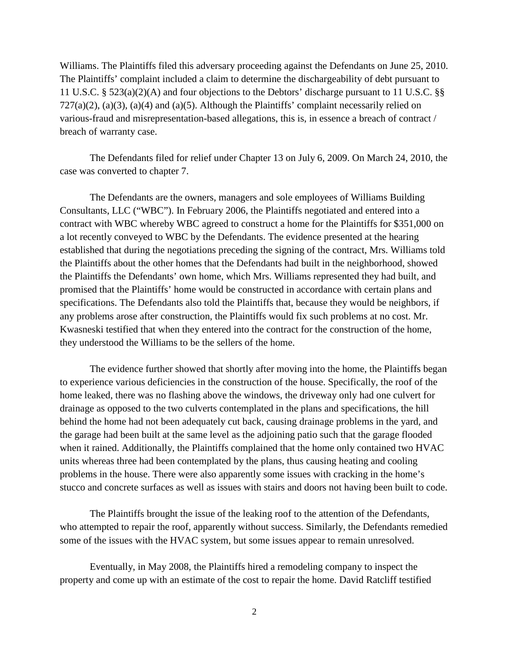Williams. The Plaintiffs filed this adversary proceeding against the Defendants on June 25, 2010. The Plaintiffs' complaint included a claim to determine the dischargeability of debt pursuant to 11 U.S.C. § 523(a)(2)(A) and four objections to the Debtors' discharge pursuant to 11 U.S.C. §§  $727(a)(2)$ ,  $(a)(3)$ ,  $(a)(4)$  and  $(a)(5)$ . Although the Plaintiffs' complaint necessarily relied on various-fraud and misrepresentation-based allegations, this is, in essence a breach of contract / breach of warranty case.

The Defendants filed for relief under Chapter 13 on July 6, 2009. On March 24, 2010, the case was converted to chapter 7.

The Defendants are the owners, managers and sole employees of Williams Building Consultants, LLC ("WBC"). In February 2006, the Plaintiffs negotiated and entered into a contract with WBC whereby WBC agreed to construct a home for the Plaintiffs for \$351,000 on a lot recently conveyed to WBC by the Defendants. The evidence presented at the hearing established that during the negotiations preceding the signing of the contract, Mrs. Williams told the Plaintiffs about the other homes that the Defendants had built in the neighborhood, showed the Plaintiffs the Defendants' own home, which Mrs. Williams represented they had built, and promised that the Plaintiffs' home would be constructed in accordance with certain plans and specifications. The Defendants also told the Plaintiffs that, because they would be neighbors, if any problems arose after construction, the Plaintiffs would fix such problems at no cost. Mr. Kwasneski testified that when they entered into the contract for the construction of the home, they understood the Williams to be the sellers of the home.

The evidence further showed that shortly after moving into the home, the Plaintiffs began to experience various deficiencies in the construction of the house. Specifically, the roof of the home leaked, there was no flashing above the windows, the driveway only had one culvert for drainage as opposed to the two culverts contemplated in the plans and specifications, the hill behind the home had not been adequately cut back, causing drainage problems in the yard, and the garage had been built at the same level as the adjoining patio such that the garage flooded when it rained. Additionally, the Plaintiffs complained that the home only contained two HVAC units whereas three had been contemplated by the plans, thus causing heating and cooling problems in the house. There were also apparently some issues with cracking in the home's stucco and concrete surfaces as well as issues with stairs and doors not having been built to code.

The Plaintiffs brought the issue of the leaking roof to the attention of the Defendants, who attempted to repair the roof, apparently without success. Similarly, the Defendants remedied some of the issues with the HVAC system, but some issues appear to remain unresolved.

Eventually, in May 2008, the Plaintiffs hired a remodeling company to inspect the property and come up with an estimate of the cost to repair the home. David Ratcliff testified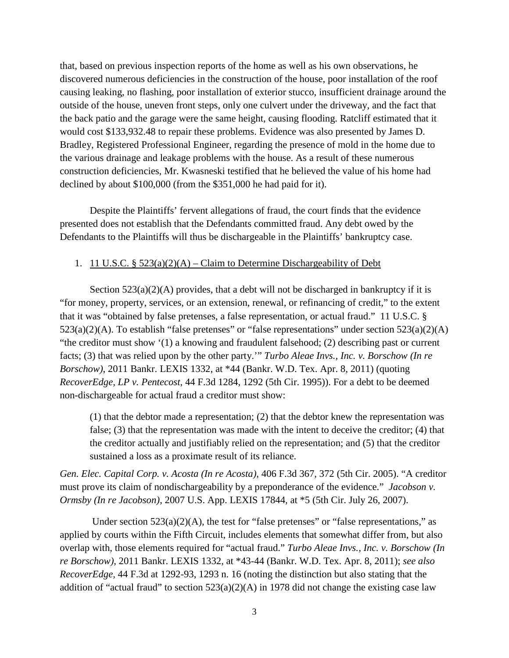that, based on previous inspection reports of the home as well as his own observations, he discovered numerous deficiencies in the construction of the house, poor installation of the roof causing leaking, no flashing, poor installation of exterior stucco, insufficient drainage around the outside of the house, uneven front steps, only one culvert under the driveway, and the fact that the back patio and the garage were the same height, causing flooding. Ratcliff estimated that it would cost \$133,932.48 to repair these problems. Evidence was also presented by James D. Bradley, Registered Professional Engineer, regarding the presence of mold in the home due to the various drainage and leakage problems with the house. As a result of these numerous construction deficiencies, Mr. Kwasneski testified that he believed the value of his home had declined by about \$100,000 (from the \$351,000 he had paid for it).

Despite the Plaintiffs' fervent allegations of fraud, the court finds that the evidence presented does not establish that the Defendants committed fraud. Any debt owed by the Defendants to the Plaintiffs will thus be dischargeable in the Plaintiffs' bankruptcy case.

### 1. 11 U.S.C.  $\S$  523(a)(2)(A) – Claim to Determine Dischargeability of Debt

Section  $523(a)(2)(A)$  provides, that a debt will not be discharged in bankruptcy if it is "for money, property, services, or an extension, renewal, or refinancing of credit," to the extent that it was "obtained by false pretenses, a false representation, or actual fraud." 11 U.S.C. §  $523(a)(2)(A)$ . To establish "false pretenses" or "false representations" under section  $523(a)(2)(A)$ "the creditor must show '(1) a knowing and fraudulent falsehood; (2) describing past or current facts; (3) that was relied upon by the other party.'" *Turbo Aleae Invs., Inc. v. Borschow (In re Borschow)*, 2011 Bankr. LEXIS 1332, at \*44 (Bankr. W.D. Tex. Apr. 8, 2011) (quoting *RecoverEdge, LP v. Pentecost*, 44 F.3d 1284, 1292 (5th Cir. 1995)). For a debt to be deemed non-dischargeable for actual fraud a creditor must show:

(1) that the debtor made a representation; (2) that the debtor knew the representation was false; (3) that the representation was made with the intent to deceive the creditor; (4) that the creditor actually and justifiably relied on the representation; and (5) that the creditor sustained a loss as a proximate result of its reliance.

*[Gen. Elec. Capital Corp. v. Acosta \(In re Acosta\)](https://www.lexis.com/research/buttonTFLink?_m=7dc6df301b34134f2ef9dc45fd2e6d28&_xfercite=%3ccite%20cc%3d%22USA%22%3e%3c%21%5bCDATA%5b2011%20Bankr.%20LEXIS%201042%5d%5d%3e%3c%2fcite%3e&_butType=3&_butStat=2&_butNum=145&_butInline=1&_butinfo=%3ccite%20cc%3d%22USA%22%3e%3c%21%5bCDATA%5b406%20F.3d%20367%2c%20372%5d%5d%3e%3c%2fcite%3e&_fmtstr=FULL&docnum=1&_startdoc=1&wchp=dGLbVtb-zSkAA&_md5=91362b81604f16d3ccec035ba42ecccf)*, 406 F.3d 367, 372 (5th Cir. 2005). "A creditor must prove its claim of nondischargeability by a preponderance of the evidence." *Jacobson v. Ormsby (In re Jacobson)*, 2007 U.S. App. LEXIS 17844, at \*5 (5th Cir. July 26, 2007).

Under section  $523(a)(2)(A)$ , the test for "false pretenses" or "false representations," as applied by courts within the Fifth Circuit, includes elements that somewhat differ from, but also overlap with, those elements required for "actual fraud." *Turbo Aleae Invs., Inc. v. Borschow (In re Borschow)*, 2011 Bankr. LEXIS 1332, at \*43-44 (Bankr. W.D. Tex. Apr. 8, 2011); *see also RecoverEdge*, 44 F.3d at 1292-93, 1293 n. 16 (noting the distinction but also stating that the addition of "actual fraud" to section  $523(a)(2)(A)$  in 1978 did not change the existing case law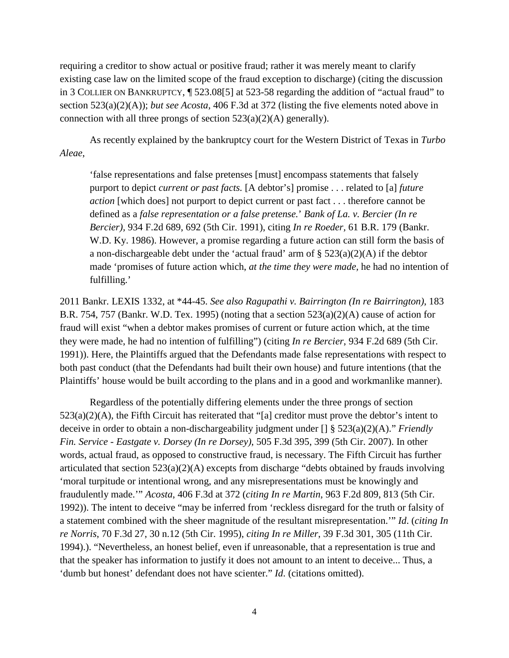requiring a creditor to show actual or positive fraud; rather it was merely meant to clarify existing case law on the limited scope of the fraud exception to discharge) (citing the discussion in 3 COLLIER ON BANKRUPTCY, ¶ 523.08[5] at 523-58 regarding the addition of "actual fraud" to section 523(a)(2)(A)); *but see [Acosta](https://www.lexis.com/research/buttonTFLink?_m=7dc6df301b34134f2ef9dc45fd2e6d28&_xfercite=%3ccite%20cc%3d%22USA%22%3e%3c%21%5bCDATA%5b2011%20Bankr.%20LEXIS%201042%5d%5d%3e%3c%2fcite%3e&_butType=3&_butStat=2&_butNum=145&_butInline=1&_butinfo=%3ccite%20cc%3d%22USA%22%3e%3c%21%5bCDATA%5b406%20F.3d%20367%2c%20372%5d%5d%3e%3c%2fcite%3e&_fmtstr=FULL&docnum=1&_startdoc=1&wchp=dGLbVtb-zSkAA&_md5=91362b81604f16d3ccec035ba42ecccf)*, 406 F.3d at 372 (listing the five elements noted above in connection with all three prongs of section  $523(a)(2)(A)$  generally).

As recently explained by the bankruptcy court for the Western District of Texas in *Turbo Aleae*,

'false representations and false pretenses [must] encompass statements that falsely purport to depict *current or past facts.* [A debtor's] promise . . . related to [a] *future action* [which does] not purport to depict current or past fact . . . therefore cannot be defined as a *false representation or a false pretense.*' *Bank of La. v. Bercier (In re Bercier),* 934 F.2d 689, 692 (5th Cir. 1991), citing *In re Roeder,* 61 B.R. 179 (Bankr. W.D. Ky. 1986). However, a promise regarding a future action can still form the basis of a non-dischargeable debt under the 'actual fraud' arm of  $\S$  523(a)(2)(A) if the debtor made 'promises of future action which, *at the time they were made,* he had no intention of fulfilling.'

2011 Bankr. LEXIS 1332, at \*44-45. *See also Ragupathi v. Bairrington (In re Bairrington)*, 183 B.R. 754, 757 (Bankr. W.D. Tex. 1995) (noting that a section  $523(a)(2)(A)$  cause of action for fraud will exist "when a debtor makes promises of current or future action which, at the time they were made, he had no intention of fulfilling") (citing *In re Bercier*, 934 F.2d 689 (5th Cir. 1991)). Here, the Plaintiffs argued that the Defendants made false representations with respect to both past conduct (that the Defendants had built their own house) and future intentions (that the Plaintiffs' house would be built according to the plans and in a good and workmanlike manner).

Regardless of the potentially differing elements under the three prongs of section 523(a)(2)(A), the Fifth Circuit has reiterated that "[a] creditor must prove the debtor's intent to deceive in order to obtain a non-dischargeability judgment under [] § 523(a)(2)(A)." *Friendly Fin. Service - Eastgate v. Dorsey (In re Dorsey)*, 505 F.3d 395, 399 (5th Cir. 2007). In other words, actual fraud, as opposed to constructive fraud, is necessary. The Fifth Circuit has further articulated that section 523(a)(2)(A) excepts from discharge "debts obtained by frauds involving 'moral turpitude or intentional wrong, and any misrepresentations must be knowingly and fraudulently made.'" *Acosta*, 406 F.3d at 372 (*citing In re Martin*, 963 F.2d 809, 813 (5th Cir. 1992)). The intent to deceive "may be inferred from 'reckless disregard for the truth or falsity of a statement combined with the sheer magnitude of the resultant misrepresentation.'" *Id*. (*citing In re Norris*, 70 F.3d 27, 30 n.12 (5th Cir. 1995), *citing In re Miller*, 39 F.3d 301, 305 (11th Cir. 1994).). "Nevertheless, an honest belief, even if unreasonable, that a representation is true and that the speaker has information to justify it does not amount to an intent to deceive... Thus, a 'dumb but honest' defendant does not have scienter." *Id*. (citations omitted).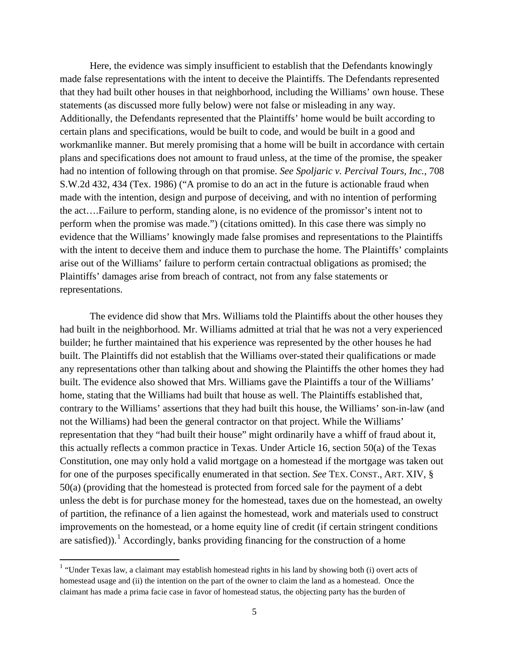Here, the evidence was simply insufficient to establish that the Defendants knowingly made false representations with the intent to deceive the Plaintiffs. The Defendants represented that they had built other houses in that neighborhood, including the Williams' own house. These statements (as discussed more fully below) were not false or misleading in any way. Additionally, the Defendants represented that the Plaintiffs' home would be built according to certain plans and specifications, would be built to code, and would be built in a good and workmanlike manner. But merely promising that a home will be built in accordance with certain plans and specifications does not amount to fraud unless, at the time of the promise, the speaker had no intention of following through on that promise. *See Spoljaric v. Percival Tours, Inc.*, 708 S.W.2d 432, 434 (Tex. 1986) ("A promise to do an act in the future is actionable fraud when made with the intention, design and purpose of deceiving, and with no intention of performing the act….Failure to perform, standing alone, is no evidence of the promissor's intent not to perform when the promise was made.") (citations omitted). In this case there was simply no evidence that the Williams' knowingly made false promises and representations to the Plaintiffs with the intent to deceive them and induce them to purchase the home. The Plaintiffs' complaints arise out of the Williams' failure to perform certain contractual obligations as promised; the Plaintiffs' damages arise from breach of contract, not from any false statements or representations.

The evidence did show that Mrs. Williams told the Plaintiffs about the other houses they had built in the neighborhood. Mr. Williams admitted at trial that he was not a very experienced builder; he further maintained that his experience was represented by the other houses he had built. The Plaintiffs did not establish that the Williams over-stated their qualifications or made any representations other than talking about and showing the Plaintiffs the other homes they had built. The evidence also showed that Mrs. Williams gave the Plaintiffs a tour of the Williams' home, stating that the Williams had built that house as well. The Plaintiffs established that, contrary to the Williams' assertions that they had built this house, the Williams' son-in-law (and not the Williams) had been the general contractor on that project. While the Williams' representation that they "had built their house" might ordinarily have a whiff of fraud about it, this actually reflects a common practice in Texas. Under Article 16, section 50(a) of the Texas Constitution, one may only hold a valid mortgage on a homestead if the mortgage was taken out for one of the purposes specifically enumerated in that section. *See* TEX. CONST., ART. XIV, § 50(a) (providing that the homestead is protected from forced sale for the payment of a debt unless the debt is for purchase money for the homestead, taxes due on the homestead, an owelty of partition, the refinance of a lien against the homestead, work and materials used to construct improvements on the homestead, or a home equity line of credit (if certain stringent conditions are satisfied)).<sup>[1](#page-4-0)</sup> Accordingly, banks providing financing for the construction of a home

 $\overline{\phantom{0}}$ 

<span id="page-4-0"></span> $1$  "Under Texas law, a claimant may establish homestead rights in his land by showing both (i) overt acts of homestead usage and (ii) the intention on the part of the owner to claim the land as a homestead. Once the claimant has made a prima facie case in favor of homestead status, the objecting party has the burden of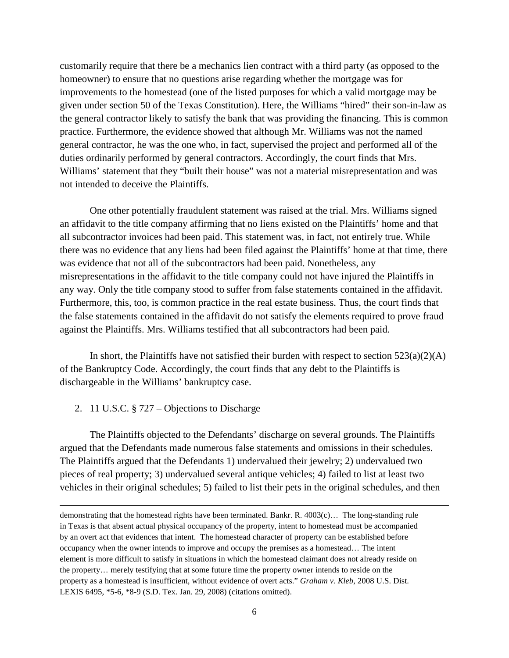customarily require that there be a mechanics lien contract with a third party (as opposed to the homeowner) to ensure that no questions arise regarding whether the mortgage was for improvements to the homestead (one of the listed purposes for which a valid mortgage may be given under section 50 of the Texas Constitution). Here, the Williams "hired" their son-in-law as the general contractor likely to satisfy the bank that was providing the financing. This is common practice. Furthermore, the evidence showed that although Mr. Williams was not the named general contractor, he was the one who, in fact, supervised the project and performed all of the duties ordinarily performed by general contractors. Accordingly, the court finds that Mrs. Williams' statement that they "built their house" was not a material misrepresentation and was not intended to deceive the Plaintiffs.

One other potentially fraudulent statement was raised at the trial. Mrs. Williams signed an affidavit to the title company affirming that no liens existed on the Plaintiffs' home and that all subcontractor invoices had been paid. This statement was, in fact, not entirely true. While there was no evidence that any liens had been filed against the Plaintiffs' home at that time, there was evidence that not all of the subcontractors had been paid. Nonetheless, any misrepresentations in the affidavit to the title company could not have injured the Plaintiffs in any way. Only the title company stood to suffer from false statements contained in the affidavit. Furthermore, this, too, is common practice in the real estate business. Thus, the court finds that the false statements contained in the affidavit do not satisfy the elements required to prove fraud against the Plaintiffs. Mrs. Williams testified that all subcontractors had been paid.

In short, the Plaintiffs have not satisfied their burden with respect to section  $523(a)(2)(A)$ of the Bankruptcy Code. Accordingly, the court finds that any debt to the Plaintiffs is dischargeable in the Williams' bankruptcy case.

#### 2. 11 U.S.C. § 727 – Objections to Discharge

 $\overline{\phantom{0}}$ 

The Plaintiffs objected to the Defendants' discharge on several grounds. The Plaintiffs argued that the Defendants made numerous false statements and omissions in their schedules. The Plaintiffs argued that the Defendants 1) undervalued their jewelry; 2) undervalued two pieces of real property; 3) undervalued several antique vehicles; 4) failed to list at least two vehicles in their original schedules; 5) failed to list their pets in the original schedules, and then

demonstrating that the homestead rights have been terminated. Bankr. R. 4003(c)… The long-standing rule in Texas is that absent actual physical occupancy of the property, intent to homestead must be accompanied by an overt act that evidences that intent. The homestead character of property can be established before occupancy when the owner intends to improve and occupy the premises as a homestead… The intent element is more difficult to satisfy in situations in which the homestead claimant does not already reside on the property… merely testifying that at some future time the property owner intends to reside on the property as a homestead is insufficient, without evidence of overt acts." *Graham v. Kleb*, 2008 U.S. Dist. LEXIS 6495, \*5-6, \*8-9 (S.D. Tex. Jan. 29, 2008) (citations omitted).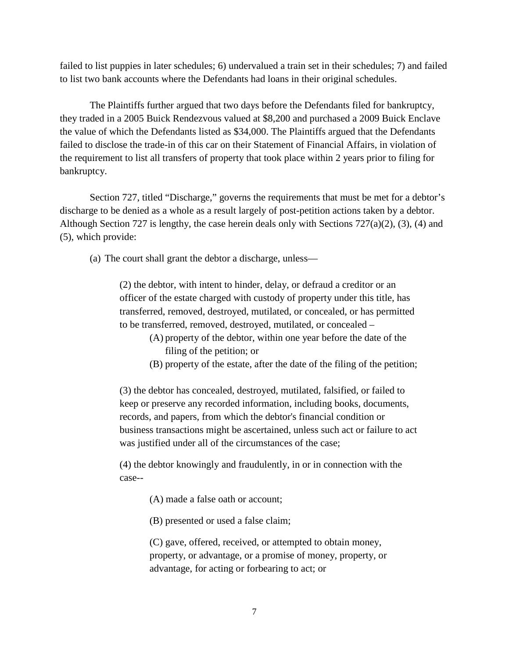failed to list puppies in later schedules; 6) undervalued a train set in their schedules; 7) and failed to list two bank accounts where the Defendants had loans in their original schedules.

The Plaintiffs further argued that two days before the Defendants filed for bankruptcy, they traded in a 2005 Buick Rendezvous valued at \$8,200 and purchased a 2009 Buick Enclave the value of which the Defendants listed as \$34,000. The Plaintiffs argued that the Defendants failed to disclose the trade-in of this car on their Statement of Financial Affairs, in violation of the requirement to list all transfers of property that took place within 2 years prior to filing for bankruptcy.

Section 727, titled "Discharge," governs the requirements that must be met for a debtor's discharge to be denied as a whole as a result largely of post-petition actions taken by a debtor. Although Section 727 is lengthy, the case herein deals only with Sections 727(a)(2), (3), (4) and (5), which provide:

(a) The court shall grant the debtor a discharge, unless—

(2) the debtor, with intent to hinder, delay, or defraud a creditor or an officer of the estate charged with custody of property under this title, has transferred, removed, destroyed, mutilated, or concealed, or has permitted to be transferred, removed, destroyed, mutilated, or concealed –

- (A) property of the debtor, within one year before the date of the filing of the petition; or
- (B) property of the estate, after the date of the filing of the petition;

(3) the debtor has concealed, destroyed, mutilated, falsified, or failed to keep or preserve any recorded information, including books, documents, records, and papers, from which the debtor's financial condition or business transactions might be ascertained, unless such act or failure to act was justified under all of the circumstances of the case;

(4) the debtor knowingly and fraudulently, in or in connection with the case--

(A) made a false oath or account;

(B) presented or used a false claim;

(C) gave, offered, received, or attempted to obtain money, property, or advantage, or a promise of money, property, or advantage, for acting or forbearing to act; or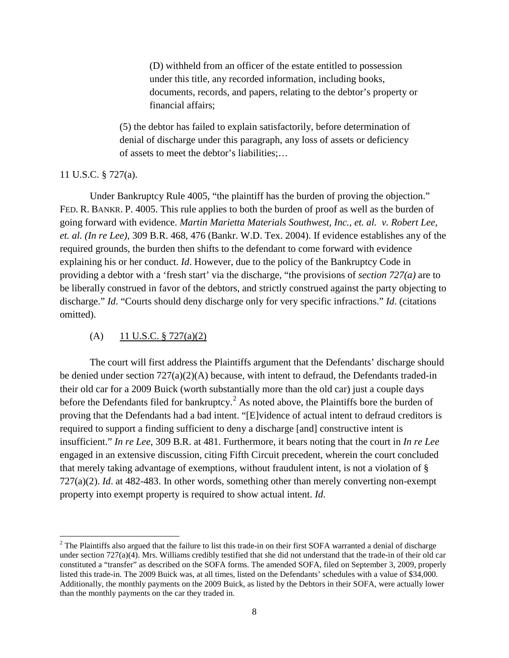(D) withheld from an officer of the estate entitled to possession under this title, any recorded information, including books, documents, records, and papers, relating to the debtor's property or financial affairs;

(5) the debtor has failed to explain satisfactorily, before determination of denial of discharge under this paragraph, any loss of assets or deficiency of assets to meet the debtor's liabilities;…

#### 11 U.S.C. § 727(a).

 $\overline{\phantom{0}}$ 

Under Bankruptcy Rule 4005, "the plaintiff has the burden of proving the objection." FED. R. BANKR. P. 4005. This rule applies to both the burden of proof as well as the burden of going forward with evidence. *Martin Marietta Materials Southwest, Inc., et. al. v. Robert Lee, et. al. (In re Lee)*, 309 B.R. 468, 476 (Bankr. W.D. Tex. 2004). If evidence establishes any of the required grounds, the burden then shifts to the defendant to come forward with evidence explaining his or her conduct. *Id*. However, due to the policy of the Bankruptcy Code in providing a debtor with a 'fresh start' via the discharge, "the provisions of *section 727(a)* are to be liberally construed in favor of the debtors, and strictly construed against the party objecting to discharge." *Id*. "Courts should deny discharge only for very specific infractions." *Id*. (citations omitted).

#### (A)  $11$  U.S.C. § 727(a)(2)

The court will first address the Plaintiffs argument that the Defendants' discharge should be denied under section 727(a)(2)(A) because, with intent to defraud, the Defendants traded-in their old car for a 2009 Buick (worth substantially more than the old car) just a couple days before the Defendants filed for bankruptcy.<sup>[2](#page-7-0)</sup> As noted above, the Plaintiffs bore the burden of proving that the Defendants had a bad intent. "[E]vidence of actual intent to defraud creditors is required to support a finding sufficient to deny a discharge [and] constructive intent is insufficient." *In re Lee*, 309 B.R. at 481. Furthermore, it bears noting that the court in *In re Lee* engaged in an extensive discussion, citing Fifth Circuit precedent, wherein the court concluded that merely taking advantage of exemptions, without fraudulent intent, is not a violation of § 727(a)(2). *Id*. at 482-483. In other words, something other than merely converting non-exempt property into exempt property is required to show actual intent. *Id*.

<span id="page-7-0"></span> $2$  The Plaintiffs also argued that the failure to list this trade-in on their first SOFA warranted a denial of discharge under section  $727(a)(4)$ . Mrs. Williams credibly testified that she did not understand that the trade-in of their old car constituted a "transfer" as described on the SOFA forms. The amended SOFA, filed on September 3, 2009, properly listed this trade-in. The 2009 Buick was, at all times, listed on the Defendants' schedules with a value of \$34,000. Additionally, the monthly payments on the 2009 Buick, as listed by the Debtors in their SOFA, were actually lower than the monthly payments on the car they traded in.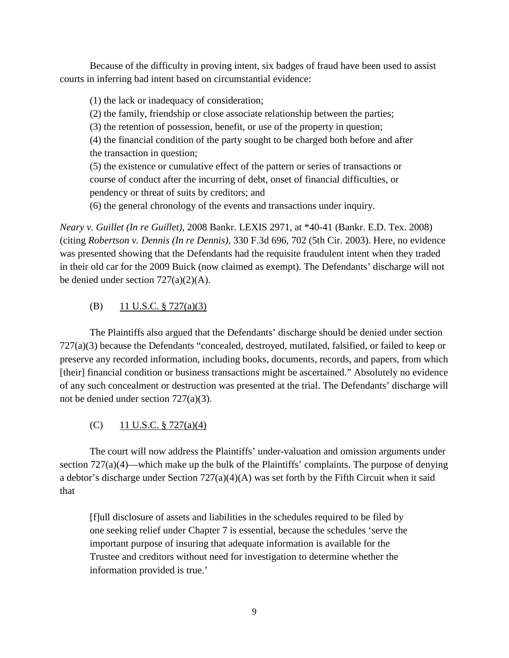Because of the difficulty in proving intent, six badges of fraud have been used to assist courts in inferring bad intent based on circumstantial evidence:

(1) the lack or inadequacy of consideration;

(2) the family, friendship or close associate relationship between the parties;

(3) the retention of possession, benefit, or use of the property in question;

(4) the financial condition of the party sought to be charged both before and after the transaction in question;

(5) the existence or cumulative effect of the pattern or series of transactions or course of conduct after the incurring of debt, onset of financial difficulties, or pendency or threat of suits by creditors; and

(6) the general chronology of the events and transactions under inquiry.

*Neary v. Guillet (In re Guillet)*, 2008 Bankr. LEXIS 2971, at \*40-41 (Bankr. E.D. Tex. 2008) (citing *Robertson v. Dennis (In re Dennis)*, 330 F.3d 696, 702 (5th Cir. 2003). Here, no evidence was presented showing that the Defendants had the requisite fraudulent intent when they traded in their old car for the 2009 Buick (now claimed as exempt). The Defendants' discharge will not be denied under section  $727(a)(2)(A)$ .

# (B) 11 U.S.C. § 727(a)(3)

The Plaintiffs also argued that the Defendants' discharge should be denied under section 727(a)(3) because the Defendants "concealed, destroyed, mutilated, falsified, or failed to keep or preserve any recorded information, including books, documents, records, and papers, from which [their] financial condition or business transactions might be ascertained." Absolutely no evidence of any such concealment or destruction was presented at the trial. The Defendants' discharge will not be denied under section 727(a)(3).

# (C) 11 U.S.C.  $\S 727(a)(4)$

The court will now address the Plaintiffs' under-valuation and omission arguments under section 727(a)(4)—which make up the bulk of the Plaintiffs' complaints. The purpose of denying a debtor's discharge under Section 727(a)(4)(A) was set forth by the Fifth Circuit when it said that

[f]ull disclosure of assets and liabilities in the schedules required to be filed by one seeking relief under Chapter 7 is essential, because the schedules 'serve the important purpose of insuring that adequate information is available for the Trustee and creditors without need for investigation to determine whether the information provided is true.'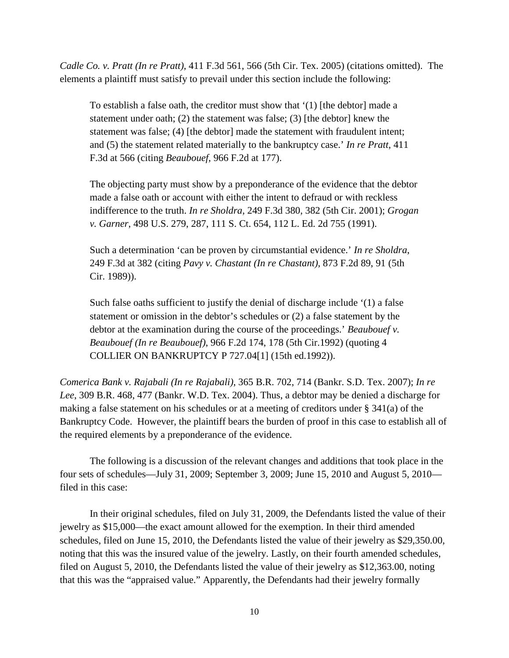*Cadle Co. v. Pratt (In re Pratt)*, 411 F.3d 561, 566 (5th Cir. Tex. 2005) (citations omitted). The elements a plaintiff must satisfy to prevail under this section include the following:

To establish a false oath, the creditor must show that '(1) [the debtor] made a statement under oath; (2) the statement was false; (3) [the debtor] knew the statement was false; (4) [the debtor] made the statement with fraudulent intent; and (5) the statement related materially to the bankruptcy case.' *In re Pratt*, 411 F.3d at 566 (citing *Beaubouef*, 966 F.2d at 177).

The objecting party must show by a preponderance of the evidence that the debtor made a false oath or account with either the intent to defraud or with reckless indifference to the truth. *In re Sholdra*, 249 F.3d 380, 382 (5th Cir. 2001); *Grogan v. Garner*, 498 U.S. 279, 287, 111 S. Ct. 654, 112 L. Ed. 2d 755 (1991).

Such a determination 'can be proven by circumstantial evidence.' *In re Sholdra*, 249 F.3d at 382 (citing *Pavy v. Chastant (In re Chastant)*, 873 F.2d 89, 91 (5th Cir. 1989)).

Such false oaths sufficient to justify the denial of discharge include '(1) a false statement or omission in the debtor's schedules or (2) a false statement by the debtor at the examination during the course of the proceedings.' *Beaubouef v. Beaubouef (In re Beaubouef)*, 966 F.2d 174, 178 (5th Cir.1992) (quoting 4 COLLIER ON BANKRUPTCY P 727.04[1] (15th ed.1992)).

*Comerica Bank v. Rajabali (In re Rajabali)*, 365 B.R. 702, 714 (Bankr. S.D. Tex. 2007); *In re Lee*, 309 B.R. 468, 477 (Bankr. W.D. Tex. 2004). Thus, a debtor may be denied a discharge for making a false statement on his schedules or at a meeting of creditors under § 341(a) of the Bankruptcy Code. However, the plaintiff bears the burden of proof in this case to establish all of the required elements by a preponderance of the evidence.

The following is a discussion of the relevant changes and additions that took place in the four sets of schedules—July 31, 2009; September 3, 2009; June 15, 2010 and August 5, 2010 filed in this case:

In their original schedules, filed on July 31, 2009, the Defendants listed the value of their jewelry as \$15,000—the exact amount allowed for the exemption. In their third amended schedules, filed on June 15, 2010, the Defendants listed the value of their jewelry as \$29,350.00, noting that this was the insured value of the jewelry. Lastly, on their fourth amended schedules, filed on August 5, 2010, the Defendants listed the value of their jewelry as \$12,363.00, noting that this was the "appraised value." Apparently, the Defendants had their jewelry formally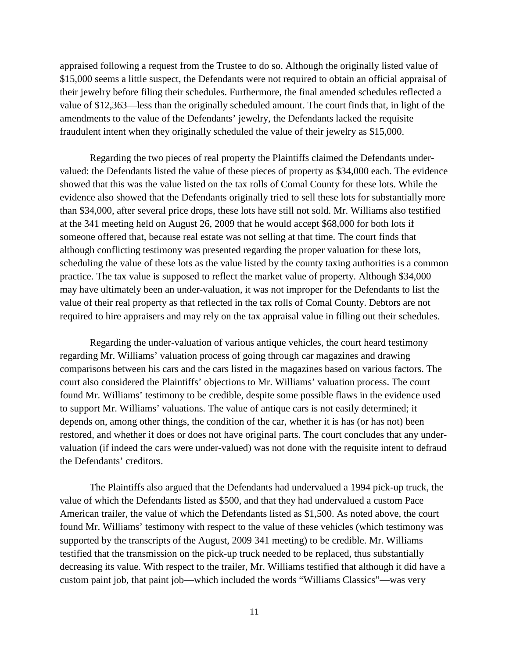appraised following a request from the Trustee to do so. Although the originally listed value of \$15,000 seems a little suspect, the Defendants were not required to obtain an official appraisal of their jewelry before filing their schedules. Furthermore, the final amended schedules reflected a value of \$12,363—less than the originally scheduled amount. The court finds that, in light of the amendments to the value of the Defendants' jewelry, the Defendants lacked the requisite fraudulent intent when they originally scheduled the value of their jewelry as \$15,000.

Regarding the two pieces of real property the Plaintiffs claimed the Defendants undervalued: the Defendants listed the value of these pieces of property as \$34,000 each. The evidence showed that this was the value listed on the tax rolls of Comal County for these lots. While the evidence also showed that the Defendants originally tried to sell these lots for substantially more than \$34,000, after several price drops, these lots have still not sold. Mr. Williams also testified at the 341 meeting held on August 26, 2009 that he would accept \$68,000 for both lots if someone offered that, because real estate was not selling at that time. The court finds that although conflicting testimony was presented regarding the proper valuation for these lots, scheduling the value of these lots as the value listed by the county taxing authorities is a common practice. The tax value is supposed to reflect the market value of property. Although \$34,000 may have ultimately been an under-valuation, it was not improper for the Defendants to list the value of their real property as that reflected in the tax rolls of Comal County. Debtors are not required to hire appraisers and may rely on the tax appraisal value in filling out their schedules.

Regarding the under-valuation of various antique vehicles, the court heard testimony regarding Mr. Williams' valuation process of going through car magazines and drawing comparisons between his cars and the cars listed in the magazines based on various factors. The court also considered the Plaintiffs' objections to Mr. Williams' valuation process. The court found Mr. Williams' testimony to be credible, despite some possible flaws in the evidence used to support Mr. Williams' valuations. The value of antique cars is not easily determined; it depends on, among other things, the condition of the car, whether it is has (or has not) been restored, and whether it does or does not have original parts. The court concludes that any undervaluation (if indeed the cars were under-valued) was not done with the requisite intent to defraud the Defendants' creditors.

The Plaintiffs also argued that the Defendants had undervalued a 1994 pick-up truck, the value of which the Defendants listed as \$500, and that they had undervalued a custom Pace American trailer, the value of which the Defendants listed as \$1,500. As noted above, the court found Mr. Williams' testimony with respect to the value of these vehicles (which testimony was supported by the transcripts of the August, 2009 341 meeting) to be credible. Mr. Williams testified that the transmission on the pick-up truck needed to be replaced, thus substantially decreasing its value. With respect to the trailer, Mr. Williams testified that although it did have a custom paint job, that paint job—which included the words "Williams Classics"—was very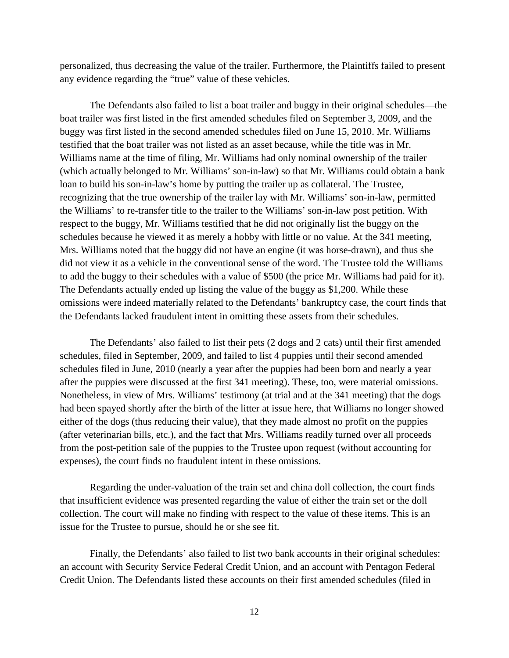personalized, thus decreasing the value of the trailer. Furthermore, the Plaintiffs failed to present any evidence regarding the "true" value of these vehicles.

The Defendants also failed to list a boat trailer and buggy in their original schedules—the boat trailer was first listed in the first amended schedules filed on September 3, 2009, and the buggy was first listed in the second amended schedules filed on June 15, 2010. Mr. Williams testified that the boat trailer was not listed as an asset because, while the title was in Mr. Williams name at the time of filing, Mr. Williams had only nominal ownership of the trailer (which actually belonged to Mr. Williams' son-in-law) so that Mr. Williams could obtain a bank loan to build his son-in-law's home by putting the trailer up as collateral. The Trustee, recognizing that the true ownership of the trailer lay with Mr. Williams' son-in-law, permitted the Williams' to re-transfer title to the trailer to the Williams' son-in-law post petition. With respect to the buggy, Mr. Williams testified that he did not originally list the buggy on the schedules because he viewed it as merely a hobby with little or no value. At the 341 meeting, Mrs. Williams noted that the buggy did not have an engine (it was horse-drawn), and thus she did not view it as a vehicle in the conventional sense of the word. The Trustee told the Williams to add the buggy to their schedules with a value of \$500 (the price Mr. Williams had paid for it). The Defendants actually ended up listing the value of the buggy as \$1,200. While these omissions were indeed materially related to the Defendants' bankruptcy case, the court finds that the Defendants lacked fraudulent intent in omitting these assets from their schedules.

The Defendants' also failed to list their pets (2 dogs and 2 cats) until their first amended schedules, filed in September, 2009, and failed to list 4 puppies until their second amended schedules filed in June, 2010 (nearly a year after the puppies had been born and nearly a year after the puppies were discussed at the first 341 meeting). These, too, were material omissions. Nonetheless, in view of Mrs. Williams' testimony (at trial and at the 341 meeting) that the dogs had been spayed shortly after the birth of the litter at issue here, that Williams no longer showed either of the dogs (thus reducing their value), that they made almost no profit on the puppies (after veterinarian bills, etc.), and the fact that Mrs. Williams readily turned over all proceeds from the post-petition sale of the puppies to the Trustee upon request (without accounting for expenses), the court finds no fraudulent intent in these omissions.

Regarding the under-valuation of the train set and china doll collection, the court finds that insufficient evidence was presented regarding the value of either the train set or the doll collection. The court will make no finding with respect to the value of these items. This is an issue for the Trustee to pursue, should he or she see fit.

Finally, the Defendants' also failed to list two bank accounts in their original schedules: an account with Security Service Federal Credit Union, and an account with Pentagon Federal Credit Union. The Defendants listed these accounts on their first amended schedules (filed in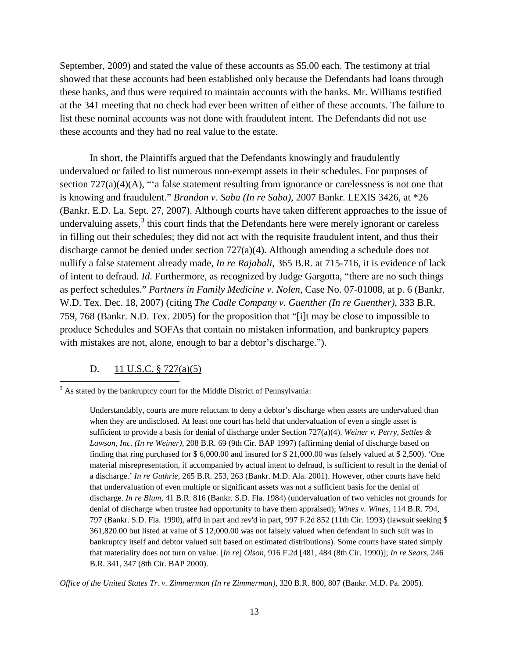September, 2009) and stated the value of these accounts as \$5.00 each. The testimony at trial showed that these accounts had been established only because the Defendants had loans through these banks, and thus were required to maintain accounts with the banks. Mr. Williams testified at the 341 meeting that no check had ever been written of either of these accounts. The failure to list these nominal accounts was not done with fraudulent intent. The Defendants did not use these accounts and they had no real value to the estate.

In short, the Plaintiffs argued that the Defendants knowingly and fraudulently undervalued or failed to list numerous non-exempt assets in their schedules. For purposes of section 727(a)(4)(A), "'a false statement resulting from ignorance or carelessness is not one that is knowing and fraudulent." *Brandon v. Saba (In re Saba)*, 2007 Bankr. LEXIS 3426, at \*26 (Bankr. E.D. La. Sept. 27, 2007). Although courts have taken different approaches to the issue of undervaluing assets, $3$  this court finds that the Defendants here were merely ignorant or careless in filling out their schedules; they did not act with the requisite fraudulent intent, and thus their discharge cannot be denied under section 727(a)(4). Although amending a schedule does not nullify a false statement already made, *In re Rajabali*, 365 B.R. at 715-716, it is evidence of lack of intent to defraud. *Id*. Furthermore, as recognized by Judge Gargotta, "there are no such things as perfect schedules." *Partners in Family Medicine v. Nolen*, Case No. 07-01008, at p. 6 (Bankr. W.D. Tex. Dec. 18, 2007) (citing *The Cadle Company v. Guenther (In re Guenther)*, 333 B.R. 759, 768 (Bankr. N.D. Tex. 2005) for the proposition that "[i]t may be close to impossible to produce Schedules and SOFAs that contain no mistaken information, and bankruptcy papers with mistakes are not, alone, enough to bar a debtor's discharge.").

## D. 11 U.S.C. § 727(a)(5)

ı

*Office of the United States Tr. v. Zimmerman (In re Zimmerman)*, 320 B.R. 800, 807 (Bankr. M.D. Pa. 2005).

<span id="page-12-0"></span><sup>&</sup>lt;sup>3</sup> As stated by the bankruptcy court for the Middle District of Pennsylvania:

Understandably, courts are more reluctant to deny a debtor's discharge when assets are undervalued than when they are undisclosed. At least one court has held that undervaluation of even a single asset is sufficient to provide a basis for denial of discharge under Section 727(a)(4). *Weiner v. Perry, Settles & Lawson, Inc. (In re Weiner)*, 208 B.R. 69 (9th Cir. BAP 1997) (affirming denial of discharge based on finding that ring purchased for \$ 6,000.00 and insured for \$ 21,000.00 was falsely valued at \$ 2,500). 'One material misrepresentation, if accompanied by actual intent to defraud, is sufficient to result in the denial of a discharge.' *In re Guthrie*, 265 B.R. 253, 263 (Bankr. M.D. Ala. 2001). However, other courts have held that undervaluation of even multiple or significant assets was not a sufficient basis for the denial of discharge. *In re Blum*, 41 B.R. 816 (Bankr. S.D. Fla. 1984) (undervaluation of two vehicles not grounds for denial of discharge when trustee had opportunity to have them appraised); *Wines v. Wines*, 114 B.R. 794, 797 (Bankr. S.D. Fla. 1990), aff'd in part and rev'd in part, 997 F.2d 852 (11th Cir. 1993) (lawsuit seeking \$ 361,820.00 but listed at value of \$ 12,000.00 was not falsely valued when defendant in such suit was in bankruptcy itself and debtor valued suit based on estimated distributions). Some courts have stated simply that materiality does not turn on value. [*In re*] *Olson*, 916 F.2d [481, 484 (8th Cir. 1990)]; *In re Sears*, 246 B.R. 341, 347 (8th Cir. BAP 2000).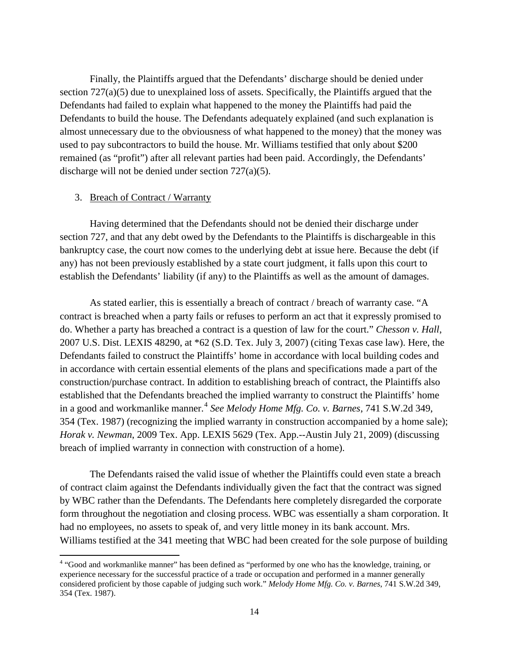Finally, the Plaintiffs argued that the Defendants' discharge should be denied under section 727(a)(5) due to unexplained loss of assets. Specifically, the Plaintiffs argued that the Defendants had failed to explain what happened to the money the Plaintiffs had paid the Defendants to build the house. The Defendants adequately explained (and such explanation is almost unnecessary due to the obviousness of what happened to the money) that the money was used to pay subcontractors to build the house. Mr. Williams testified that only about \$200 remained (as "profit") after all relevant parties had been paid. Accordingly, the Defendants' discharge will not be denied under section 727(a)(5).

#### 3. Breach of Contract / Warranty

ı

Having determined that the Defendants should not be denied their discharge under section 727, and that any debt owed by the Defendants to the Plaintiffs is dischargeable in this bankruptcy case, the court now comes to the underlying debt at issue here. Because the debt (if any) has not been previously established by a state court judgment, it falls upon this court to establish the Defendants' liability (if any) to the Plaintiffs as well as the amount of damages.

As stated earlier, this is essentially a breach of contract / breach of warranty case. "A contract is breached when a party fails or refuses to perform an act that it expressly promised to do. Whether a party has breached a contract is a question of law for the court." *Chesson v. Hall*, 2007 U.S. Dist. LEXIS 48290, at \*62 (S.D. Tex. July 3, 2007) (citing Texas case law). Here, the Defendants failed to construct the Plaintiffs' home in accordance with local building codes and in accordance with certain essential elements of the plans and specifications made a part of the construction/purchase contract. In addition to establishing breach of contract, the Plaintiffs also established that the Defendants breached the implied warranty to construct the Plaintiffs' home in a good and workmanlike manner.<sup>[4](#page-13-0)</sup> See Melody Home Mfg. Co. v. Barnes, 741 S.W.2d 349, 354 (Tex. 1987) (recognizing the implied warranty in construction accompanied by a home sale); *Horak v. Newman*, 2009 Tex. App. LEXIS 5629 (Tex. App.--Austin July 21, 2009) (discussing breach of implied warranty in connection with construction of a home).

The Defendants raised the valid issue of whether the Plaintiffs could even state a breach of contract claim against the Defendants individually given the fact that the contract was signed by WBC rather than the Defendants. The Defendants here completely disregarded the corporate form throughout the negotiation and closing process. WBC was essentially a sham corporation. It had no employees, no assets to speak of, and very little money in its bank account. Mrs. Williams testified at the 341 meeting that WBC had been created for the sole purpose of building

<span id="page-13-0"></span><sup>4</sup> "Good and workmanlike manner" has been defined as "performed by one who has the knowledge, training, or experience necessary for the successful practice of a trade or occupation and performed in a manner generally considered proficient by those capable of judging such work." *Melody Home Mfg. Co. v. Barnes*, 741 S.W.2d 349, 354 (Tex. 1987).